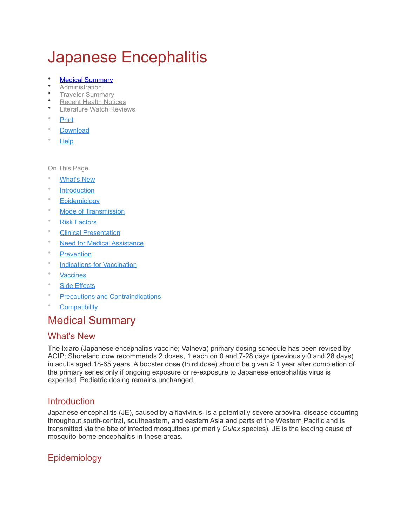# Japanese Encephalitis

- **[Medical Summary](https://www.travax.com/library/japanese-encephalitis)**
- **[Administration](https://www.travax.com/library/japanese-encephalitis/administration)**
- [Traveler Summary](https://www.travax.com/library/japanese-encephalitis/traveler-summary)
- **[Recent Health Notices](https://www.travax.com/library/japanese-encephalitis/recent-health-notices)**
- **[Literature Watch Reviews](https://www.travax.com/library/japanese-encephalitis/literature-watch-reviews)**
- Print
- [Download](https://www.travax.com/library/japanese-encephalitis?format=pdf)
- [Help](https://www.travax.com/help/features-overview/medical-library)

On This Page

- **[What's New](https://www.travax.com/library/japanese-encephalitis#whats-new)**
- **[Introduction](https://www.travax.com/library/japanese-encephalitis#introduction)**
- **[Epidemiology](https://www.travax.com/library/japanese-encephalitis#epidemiology)**
- [Mode of Transmission](https://www.travax.com/library/japanese-encephalitis#mode-of-transmission)
- **[Risk Factors](https://www.travax.com/library/japanese-encephalitis#risk-factors)**
- **[Clinical Presentation](https://www.travax.com/library/japanese-encephalitis#clinical-presentation)**
- **[Need for Medical Assistance](https://www.travax.com/library/japanese-encephalitis#need-for-medical-assistance)**
- **[Prevention](https://www.travax.com/library/japanese-encephalitis#prevention)**
- [Indications for Vaccination](https://www.travax.com/library/japanese-encephalitis#indications-for-vaccination)
- [Vaccines](https://www.travax.com/library/japanese-encephalitis#vaccines)
- [Side Effects](https://www.travax.com/library/japanese-encephalitis#side-effects)
- [Precautions and Contraindications](https://www.travax.com/library/japanese-encephalitis#precautions-and-contraindications)
- **[Compatibility](https://www.travax.com/library/japanese-encephalitis#compatibility)**

# Medical Summary

## What's New

The Ixiaro (Japanese encephalitis vaccine; Valneva) primary dosing schedule has been revised by ACIP; Shoreland now recommends 2 doses, 1 each on 0 and 7-28 days (previously 0 and 28 days) in adults aged 18-65 years. A booster dose (third dose) should be given ≥ 1 year after completion of the primary series only if ongoing exposure or re-exposure to Japanese encephalitis virus is expected. Pediatric dosing remains unchanged.

## **Introduction**

Japanese encephalitis (JE), caused by a flavivirus, is a potentially severe arboviral disease occurring throughout south-central, southeastern, and eastern Asia and parts of the Western Pacific and is transmitted via the bite of infected mosquitoes (primarily *Culex* species). JE is the leading cause of mosquito-borne encephalitis in these areas.

# **Epidemiology**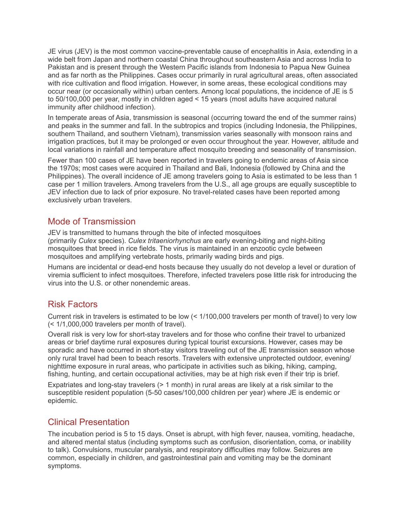JE virus (JEV) is the most common vaccine-preventable cause of encephalitis in Asia, extending in a wide belt from Japan and northern coastal China throughout southeastern Asia and across India to Pakistan and is present through the Western Pacific islands from Indonesia to Papua New Guinea and as far north as the Philippines. Cases occur primarily in rural agricultural areas, often associated with rice cultivation and flood irrigation. However, in some areas, these ecological conditions may occur near (or occasionally within) urban centers. Among local populations, the incidence of JE is 5 to 50/100,000 per year, mostly in children aged < 15 years (most adults have acquired natural immunity after childhood infection).

In temperate areas of Asia, transmission is seasonal (occurring toward the end of the summer rains) and peaks in the summer and fall. In the subtropics and tropics (including Indonesia, the Philippines, southern Thailand, and southern Vietnam), transmission varies seasonally with monsoon rains and irrigation practices, but it may be prolonged or even occur throughout the year. However, altitude and local variations in rainfall and temperature affect mosquito breeding and seasonality of transmission.

Fewer than 100 cases of JE have been reported in travelers going to endemic areas of Asia since the 1970s; most cases were acquired in Thailand and Bali, Indonesia (followed by China and the Philippines). The overall incidence of JE among travelers going to Asia is estimated to be less than 1 case per 1 million travelers. Among travelers from the U.S., all age groups are equally susceptible to JEV infection due to lack of prior exposure. No travel-related cases have been reported among exclusively urban travelers.

# Mode of Transmission

JEV is transmitted to humans through the bite of infected mosquitoes (primarily *Culex* species). *Culex tritaeniorhynchus* are early evening-biting and night-biting mosquitoes that breed in rice fields. The virus is maintained in an enzootic cycle between mosquitoes and amplifying vertebrate hosts, primarily wading birds and pigs.

Humans are incidental or dead-end hosts because they usually do not develop a level or duration of viremia sufficient to infect mosquitoes. Therefore, infected travelers pose little risk for introducing the virus into the U.S. or other nonendemic areas.

# Risk Factors

Current risk in travelers is estimated to be low (< 1/100,000 travelers per month of travel) to very low (< 1/1,000,000 travelers per month of travel).

Overall risk is very low for short-stay travelers and for those who confine their travel to urbanized areas or brief daytime rural exposures during typical tourist excursions. However, cases may be sporadic and have occurred in short-stay visitors traveling out of the JE transmission season whose only rural travel had been to beach resorts. Travelers with extensive unprotected outdoor, evening/ nighttime exposure in rural areas, who participate in activities such as biking, hiking, camping, fishing, hunting, and certain occupational activities, may be at high risk even if their trip is brief.

Expatriates and long-stay travelers (> 1 month) in rural areas are likely at a risk similar to the susceptible resident population (5-50 cases/100,000 children per year) where JE is endemic or epidemic.

# Clinical Presentation

The incubation period is 5 to 15 days. Onset is abrupt, with high fever, nausea, vomiting, headache, and altered mental status (including symptoms such as confusion, disorientation, coma, or inability to talk). Convulsions, muscular paralysis, and respiratory difficulties may follow. Seizures are common, especially in children, and gastrointestinal pain and vomiting may be the dominant symptoms.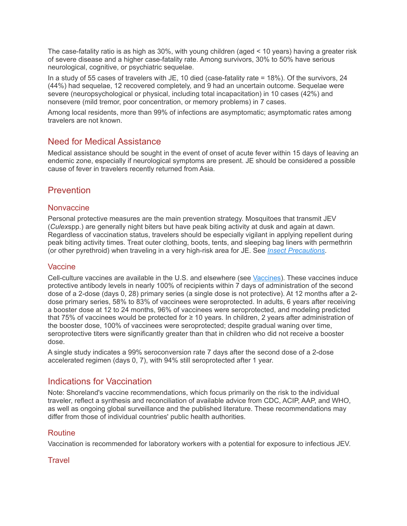The case-fatality ratio is as high as 30%, with young children (aged < 10 years) having a greater risk of severe disease and a higher case-fatality rate. Among survivors, 30% to 50% have serious neurological, cognitive, or psychiatric sequelae.

In a study of 55 cases of travelers with JE, 10 died (case-fatality rate = 18%). Of the survivors, 24 (44%) had sequelae, 12 recovered completely, and 9 had an uncertain outcome. Sequelae were severe (neuropsychological or physical, including total incapacitation) in 10 cases (42%) and nonsevere (mild tremor, poor concentration, or memory problems) in 7 cases.

Among local residents, more than 99% of infections are asymptomatic; asymptomatic rates among travelers are not known.

# Need for Medical Assistance

Medical assistance should be sought in the event of onset of acute fever within 15 days of leaving an endemic zone, especially if neurological symptoms are present. JE should be considered a possible cause of fever in travelers recently returned from Asia.

# Prevention

## **Nonvaccine**

Personal protective measures are the main prevention strategy. Mosquitoes that transmit JEV (*Culex*spp.) are generally night biters but have peak biting activity at dusk and again at dawn. Regardless of vaccination status, travelers should be especially vigilant in applying repellent during peak biting activity times. Treat outer clothing, boots, tents, and sleeping bag liners with permethrin (or other pyrethroid) when traveling in a very high-risk area for JE. See *[Insect Precautions](https://www.travax.com/library/insect-precautions)*.

## Vaccine

Cell-culture vaccines are available in the U.S. and elsewhere (see [Vaccines\)](https://www.travax.com/library/japanese-encephalitis#vaccines). These vaccines induce protective antibody levels in nearly 100% of recipients within 7 days of administration of the second dose of a 2-dose (days 0, 28) primary series (a single dose is not protective). At 12 months after a 2 dose primary series, 58% to 83% of vaccinees were seroprotected. In adults, 6 years after receiving a booster dose at 12 to 24 months, 96% of vaccinees were seroprotected, and modeling predicted that 75% of vaccinees would be protected for ≥ 10 years. In children, 2 years after administration of the booster dose, 100% of vaccinees were seroprotected; despite gradual waning over time, seroprotective titers were significantly greater than that in children who did not receive a booster dose.

A single study indicates a 99% seroconversion rate 7 days after the second dose of a 2-dose accelerated regimen (days 0, 7), with 94% still seroprotected after 1 year.

# Indications for Vaccination

Note: Shoreland's vaccine recommendations, which focus primarily on the risk to the individual traveler, reflect a synthesis and reconciliation of available advice from CDC, ACIP, AAP, and WHO, as well as ongoing global surveillance and the published literature. These recommendations may differ from those of individual countries' public health authorities.

## Routine

Vaccination is recommended for laboratory workers with a potential for exposure to infectious JEV.

## **Travel**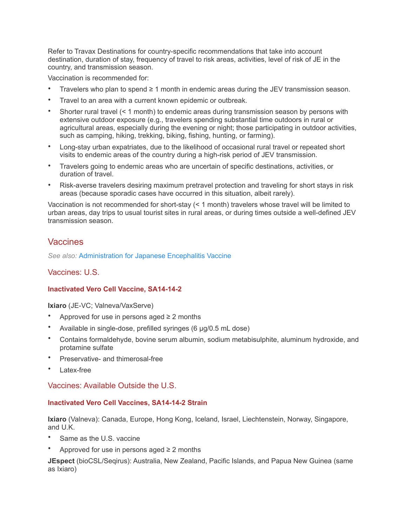Refer to Travax Destinations for country-specific recommendations that take into account destination, duration of stay, frequency of travel to risk areas, activities, level of risk of JE in the country, and transmission season.

Vaccination is recommended for:

- Travelers who plan to spend ≥ 1 month in endemic areas during the JEV transmission season.
- Travel to an area with a current known epidemic or outbreak.
- Shorter rural travel (< 1 month) to endemic areas during transmission season by persons with extensive outdoor exposure (e.g., travelers spending substantial time outdoors in rural or agricultural areas, especially during the evening or night; those participating in outdoor activities, such as camping, hiking, trekking, biking, fishing, hunting, or farming).
- Long-stay urban expatriates, due to the likelihood of occasional rural travel or repeated short visits to endemic areas of the country during a high-risk period of JEV transmission.
- Travelers going to endemic areas who are uncertain of specific destinations, activities, or duration of travel.
- Risk-averse travelers desiring maximum pretravel protection and traveling for short stays in risk areas (because sporadic cases have occurred in this situation, albeit rarely).

Vaccination is not recommended for short-stay (< 1 month) travelers whose travel will be limited to urban areas, day trips to usual tourist sites in rural areas, or during times outside a well-defined JEV transmission season.

## Vaccines

*See also:* [Administration for Japanese Encephalitis Vaccine](https://www.travax.com/library/japanese-encephalitis/administration)

#### Vaccines: U.S.

#### **Inactivated Vero Cell Vaccine, SA14-14-2**

**Ixiaro** (JE-VC; Valneva/VaxServe)

- Approved for use in persons aged  $\geq 2$  months
- Available in single-dose, prefilled syringes (6 µg/0.5 mL dose)
- Contains formaldehyde, bovine serum albumin, sodium metabisulphite, aluminum hydroxide, and protamine sulfate
- Preservative- and thimerosal-free
- Latex-free

Vaccines: Available Outside the U.S.

#### **Inactivated Vero Cell Vaccines, SA14-14-2 Strain**

**Ixiaro** (Valneva): Canada, Europe, Hong Kong, Iceland, Israel, Liechtenstein, Norway, Singapore, and U.K.

- Same as the U.S. vaccine
- Approved for use in persons aged  $\geq 2$  months

**JEspect** (bioCSL/Seqirus): Australia, New Zealand, Pacific Islands, and Papua New Guinea (same as Ixiaro)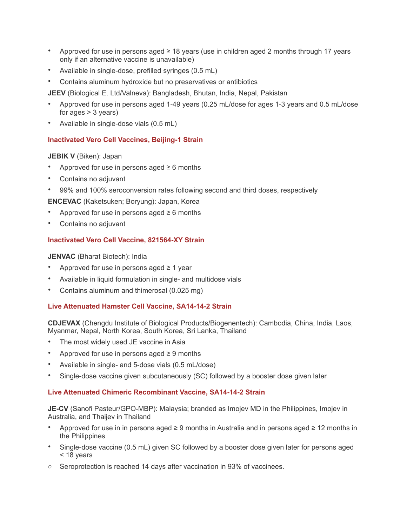- Approved for use in persons aged ≥ 18 years (use in children aged 2 months through 17 years only if an alternative vaccine is unavailable)
- Available in single-dose, prefilled syringes (0.5 mL)
- Contains aluminum hydroxide but no preservatives or antibiotics

**JEEV** (Biological E. Ltd/Valneva): Bangladesh, Bhutan, India, Nepal, Pakistan

- Approved for use in persons aged 1-49 years (0.25 mL/dose for ages 1-3 years and 0.5 mL/dose for ages  $>$  3 years)
- Available in single-dose vials (0.5 mL)

## **Inactivated Vero Cell Vaccines, Beijing-1 Strain**

**JEBIK V** (Biken): Japan

- Approved for use in persons aged  $\geq 6$  months
- Contains no adjuvant
- 99% and 100% seroconversion rates following second and third doses, respectively

**ENCEVAC** (Kaketsuken; Boryung): Japan, Korea

- Approved for use in persons aged  $\geq 6$  months
- Contains no adjuvant

#### **Inactivated Vero Cell Vaccine, 821564-XY Strain**

**JENVAC** (Bharat Biotech): India

- Approved for use in persons aged  $\geq 1$  year
- Available in liquid formulation in single- and multidose vials
- Contains aluminum and thimerosal (0.025 mg)

#### **Live Attenuated Hamster Cell Vaccine, SA14-14-2 Strain**

**CDJEVAX** (Chengdu Institute of Biological Products/Biogenentech): Cambodia, China, India, Laos, Myanmar, Nepal, North Korea, South Korea, Sri Lanka, Thailand

- The most widely used JE vaccine in Asia
- Approved for use in persons aged  $\geq 9$  months
- Available in single- and 5-dose vials (0.5 mL/dose)
- Single-dose vaccine given subcutaneously (SC) followed by a booster dose given later

#### **Live Attenuated Chimeric Recombinant Vaccine, SA14-14-2 Strain**

**JE-CV** (Sanofi Pasteur/GPO-MBP): Malaysia; branded as Imojev MD in the Philippines, Imojev in Australia, and Thaijev in Thailand

- Approved for use in in persons aged ≥ 9 months in Australia and in persons aged ≥ 12 months in the Philippines
- Single-dose vaccine (0.5 mL) given SC followed by a booster dose given later for persons aged < 18 years
- $\circ$  Seroprotection is reached 14 days after vaccination in 93% of vaccinees.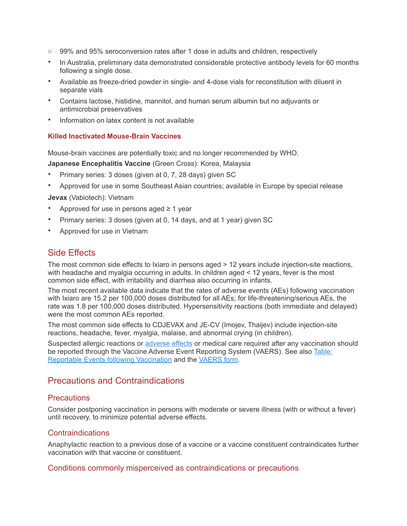- o 99% and 95% seroconversion rates after 1 dose in adults and children, respectively
- In Australia, preliminary data demonstrated considerable protective antibody levels for 60 months following a single dose.
- Available as freeze-dried powder in single- and 4-dose vials for reconstitution with diluent in separate vials
- Contains lactose, histidine, mannitol, and human serum albumin but no adjuvants or antimicrobial preservatives
- Information on latex content is not available

#### **Killed Inactivated Mouse-Brain Vaccines**

Mouse-brain vaccines are potentially toxic and no longer recommended by WHO.

**Japanese Encephalitis Vaccine** (Green Cross): Korea, Malaysia

- Primary series: 3 doses (given at 0, 7, 28 days) given SC
- Approved for use in some Southeast Asian countries; available in Europe by special release

**Jevax** (Vabiotech): Vietnam

- Approved for use in persons aged  $\geq 1$  year
- Primary series: 3 doses (given at 0, 14 days, and at 1 year) given SC
- Approved for use in Vietnam

# Side Effects

The most common side effects to Ixiaro in persons aged > 12 years include injection-site reactions, with headache and myalgia occurring in adults. In children aged < 12 years, fever is the most common side effect, with irritability and diarrhea also occurring in infants.

The most recent available data indicate that the rates of adverse events (AEs) following vaccination with Ixiaro are 15.2 per 100,000 doses distributed for all AEs; for life-threatening/serious AEs, the rate was 1.8 per 100,000 doses distributed. Hypersensitivity reactions (both immediate and delayed) were the most common AEs reported.

The most common side effects to CDJEVAX and JE-CV (Imojev, Thaijev) include injection-site reactions, headache, fever, myalgia, malaise, and abnormal crying (in children).

Suspected allergic reactions or [adverse effects](https://www.travax.com/library/adverse-events-and-vaers) or medical care required after any vaccination should be reported through the Vaccine Adverse Event Reporting System (VAERS). See also [Table:](https://www.travax.com/downloads/library/medical/tables/reportable-events_table.pdf)  [Reportable Events following Vaccination](https://www.travax.com/downloads/library/medical/tables/reportable-events_table.pdf) and the [VAERS form](https://www.travax.com/downloads/library/medical/pdf/vaers-form.pdf).

# Precautions and Contraindications

## **Precautions**

Consider postponing vaccination in persons with moderate or severe illness (with or without a fever) until recovery, to minimize potential adverse effects.

## **Contraindications**

Anaphylactic reaction to a previous dose of a vaccine or a vaccine constituent contraindicates further vaccination with that vaccine or constituent.

#### Conditions commonly misperceived as contraindications or precautions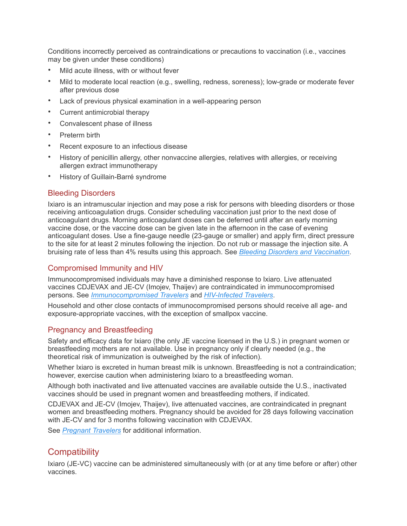Conditions incorrectly perceived as contraindications or precautions to vaccination (i.e., vaccines may be given under these conditions)

- Mild acute illness, with or without fever
- Mild to moderate local reaction (e.g., swelling, redness, soreness); low-grade or moderate fever after previous dose
- Lack of previous physical examination in a well-appearing person
- Current antimicrobial therapy
- Convalescent phase of illness
- Preterm birth
- Recent exposure to an infectious disease
- History of penicillin allergy, other nonvaccine allergies, relatives with allergies, or receiving allergen extract immunotherapy
- History of Guillain-Barré syndrome

## Bleeding Disorders

Ixiaro is an intramuscular injection and may pose a risk for persons with bleeding disorders or those receiving anticoagulation drugs. Consider scheduling vaccination just prior to the next dose of anticoagulant drugs. Morning anticoagulant doses can be deferred until after an early morning vaccine dose, or the vaccine dose can be given late in the afternoon in the case of evening anticoagulant doses. Use a fine-gauge needle (23-gauge or smaller) and apply firm, direct pressure to the site for at least 2 minutes following the injection. Do not rub or massage the injection site. A bruising rate of less than 4% results using this approach. See *[Bleeding Disorders and Vaccination](https://www.travax.com/library/bleeding-disorders-and-vaccination)*.

## Compromised Immunity and HIV

Immunocompromised individuals may have a diminished response to Ixiaro. Live attenuated vaccines CDJEVAX and JE-CV (Imojev, Thaijev) are contraindicated in immunocompromised persons. See *[Immunocompromised Travelers](https://www.travax.com/library/immunocompromised-travelers)* and *[HIV-Infected Travelers](https://www.travax.com/library/hiv-infected-travelers)*.

Household and other close contacts of immunocompromised persons should receive all age- and exposure-appropriate vaccines, with the exception of smallpox vaccine.

#### Pregnancy and Breastfeeding

Safety and efficacy data for Ixiaro (the only JE vaccine licensed in the U.S.) in pregnant women or breastfeeding mothers are not available. Use in pregnancy only if clearly needed (e.g., the theoretical risk of immunization is outweighed by the risk of infection).

Whether Ixiaro is excreted in human breast milk is unknown. Breastfeeding is not a contraindication; however, exercise caution when administering Ixiaro to a breastfeeding woman.

Although both inactivated and live attenuated vaccines are available outside the U.S., inactivated vaccines should be used in pregnant women and breastfeeding mothers, if indicated.

CDJEVAX and JE-CV (Imojev, Thaijev), live attenuated vaccines, are contraindicated in pregnant women and breastfeeding mothers. Pregnancy should be avoided for 28 days following vaccination with JE-CV and for 3 months following vaccination with CDJEVAX.

See *[Pregnant Travelers](https://www.travax.com/library/pregnant-travelers)* for additional information.

# **Compatibility**

Ixiaro (JE-VC) vaccine can be administered simultaneously with (or at any time before or after) other vaccines.